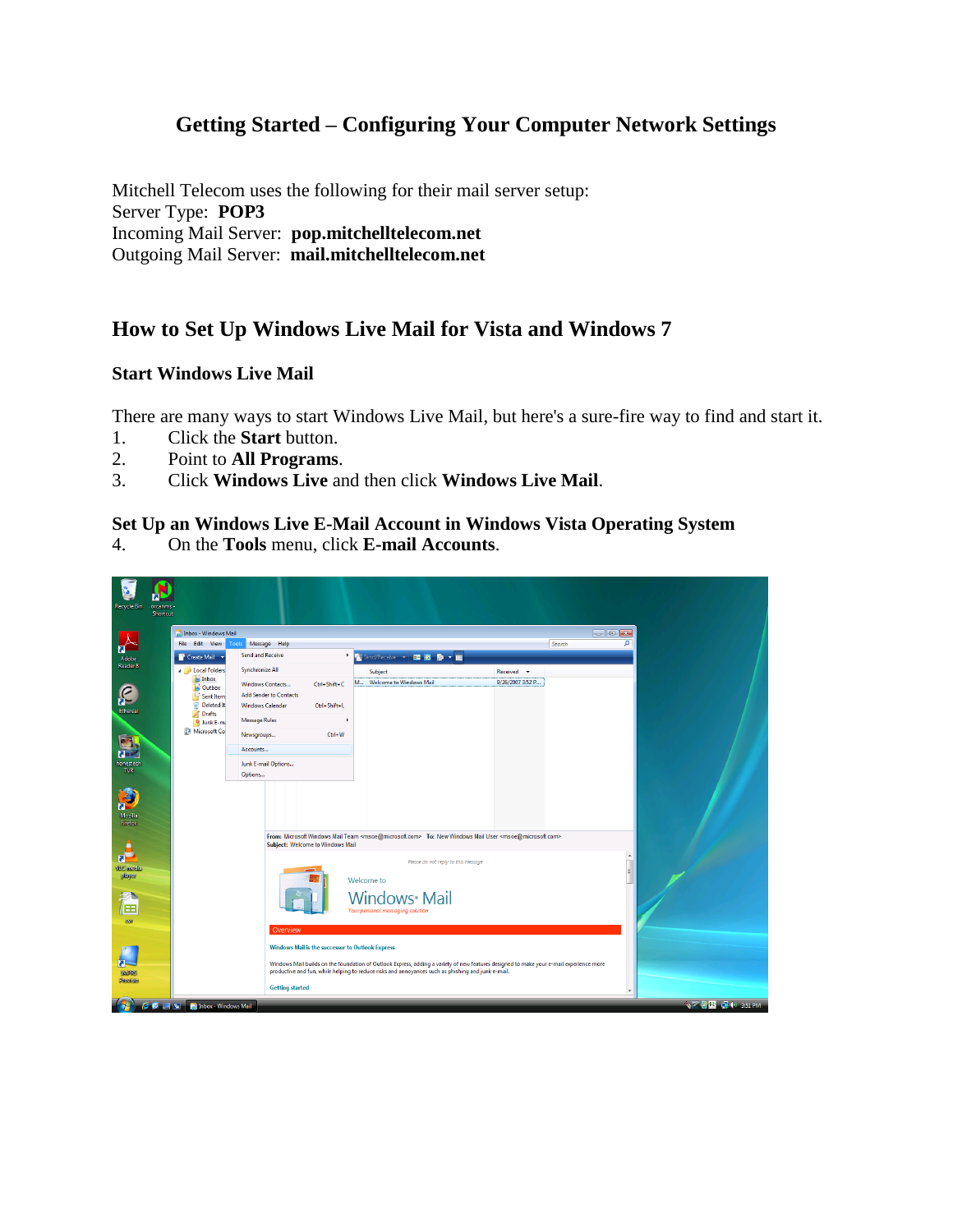# **Getting Started – Configuring Your Computer Network Settings**

Mitchell Telecom uses the following for their mail server setup: Server Type: **POP3** Incoming Mail Server: **pop.mitchelltelecom.net** Outgoing Mail Server: **mail.mitchelltelecom.net**

## **How to Set Up Windows Live Mail for Vista and Windows 7**

### **Start Windows Live Mail**

There are many ways to start Windows Live Mail, but here's a sure-fire way to find and start it.

- 1. Click the **Start** button.
- 2. Point to **All Programs**.
- 3. Click **Windows Live** and then click **Windows Live Mail**.

### **Set Up an Windows Live E-Mail Account in Windows Vista Operating System**

4. On the **Tools** menu, click **E-mail Accounts**.

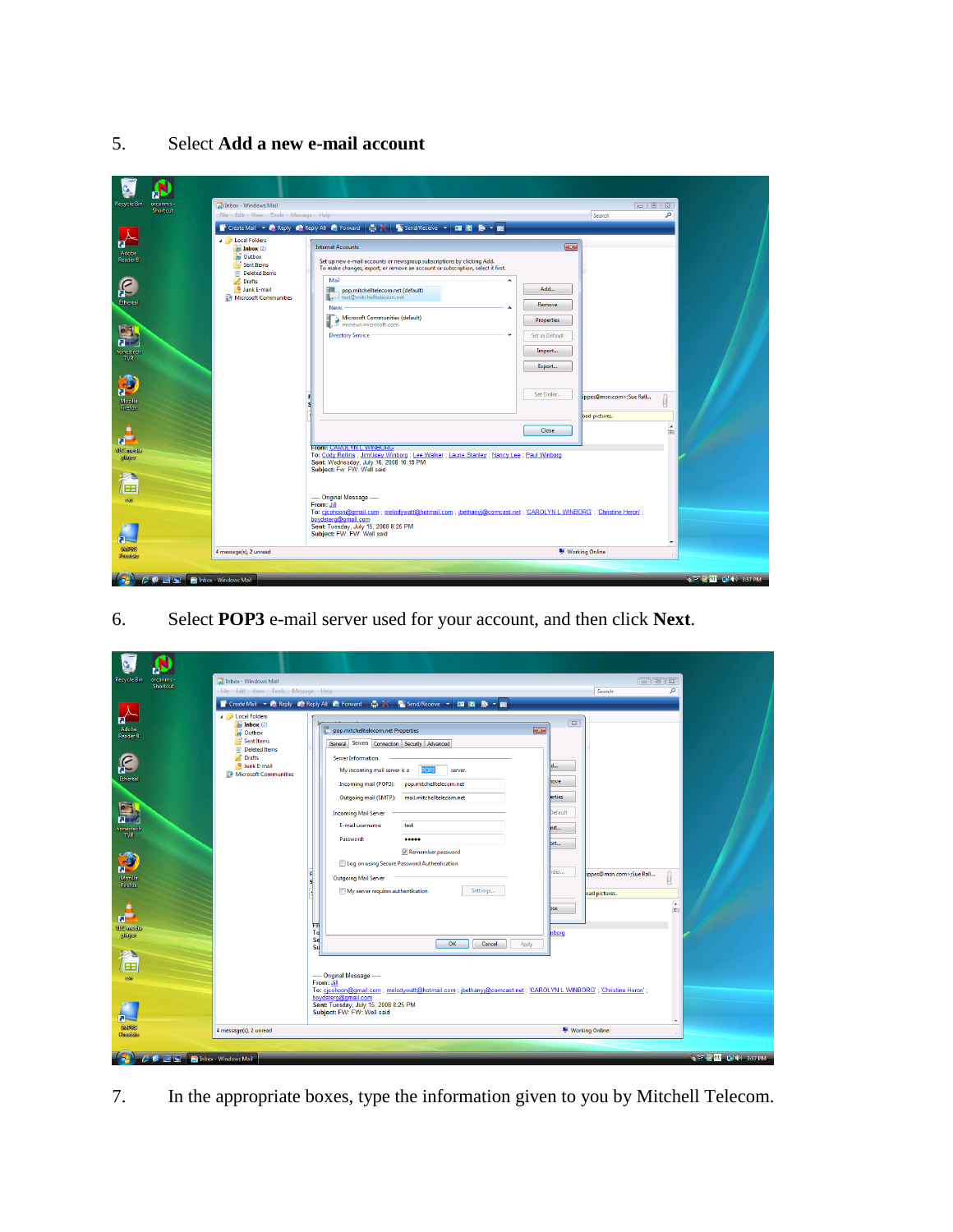5. Select **Add a new e-mail account**

| <b>Recycle Bin</b>                                                                                                                                                                                                    | orcanms -<br>Shortcut            | Inbox - Windows Mail<br>File Edit View Tools Message Help                                                                                                                         | Search<br>T Create Mail > 2 Reply 参 Reply All 2 Forward 点 X Li Send/Receive > 国图 D > 图                                                                                                                                                                                                                                                                                                                                                                                                                                                                                                                                                                                                                                                                                                                                                                                                                                                                                                                              | ۹                        |
|-----------------------------------------------------------------------------------------------------------------------------------------------------------------------------------------------------------------------|----------------------------------|-----------------------------------------------------------------------------------------------------------------------------------------------------------------------------------|---------------------------------------------------------------------------------------------------------------------------------------------------------------------------------------------------------------------------------------------------------------------------------------------------------------------------------------------------------------------------------------------------------------------------------------------------------------------------------------------------------------------------------------------------------------------------------------------------------------------------------------------------------------------------------------------------------------------------------------------------------------------------------------------------------------------------------------------------------------------------------------------------------------------------------------------------------------------------------------------------------------------|--------------------------|
| ब<br>Adobe<br>Reader <sup>8</sup><br>£<br>Ethereal<br><b>ZELL</b><br>honestech<br><b>TVR</b><br>Ð<br>Mozilla<br>Firefox<br>$\overline{a}$<br><b>WC</b> media<br>player<br>福<br><b>GWI</b><br><b>IMPRS</b><br>Provisio |                                  | <b>A</b> Local Folders<br>$Inbox (2)$<br>Outbox<br>Sent Items<br><b>Deleted Items</b><br><b>Drafts</b><br>Junk E-mail<br><b>A Microsoft Communities</b><br>4 message(s), 2 unread | $-23$<br><b>Internet Accounts</b><br>Set up new e-mail accounts or newsgroup subscriptions by clicking Add.<br>To make changes, export, or remove an account or subscription, select it first.<br>Mail<br>۰<br>Add<br>爴<br>pop.mitchelltelecom.net (default)<br>test@mitchelltelecom.net<br>Remove<br>News<br>Microsoft Communities (default)<br><b>Properties</b><br><b>Directory Service</b><br>Set as Default<br>Import<br>Export<br>Set Order<br>ippes@msn.com>;Sue Rall<br>oad pictures.<br><b>Close</b><br><b>From: CAROLYN L WINBORG</b><br>To: Cody Rollins ; Jim/Joey Winborg ; Lee Walker ; Laurie Stanley ; Nancy Lee ; Paul Winborg<br>Sent: Wednesday, July 16, 2008 10:19 PM<br>Subject: Fw: FW: Well said<br>----- Original Message -----<br>From: Jill<br>To: cicohoon@gmail.com ; melodywatt@hotmail.com ; jbethanyj@comcast.net ; 'CAROLYN L WINBORG' ; 'Christine Heron' ;<br>boydsterq@qmail.com<br>Sent: Tuesday, July 15, 2008 8:25 PM<br>Subject: FW: FW: Well said<br><b>Working Online</b> | (目)<br>$\cdot$           |
|                                                                                                                                                                                                                       | <b>CCES</b> Inbox - Windows Mail |                                                                                                                                                                                   |                                                                                                                                                                                                                                                                                                                                                                                                                                                                                                                                                                                                                                                                                                                                                                                                                                                                                                                                                                                                                     | <b>◆三型缸 图 40 3:57 PM</b> |

6. Select **POP3** e-mail server used for your account, and then click **Next**.

| <b>Recycle Bin</b><br>orcanms -<br>Shortcut<br>П                                                 | Inbox - Windows Mail<br>File Edit View Tools Message Help<br><b>A</b> Local Folders<br>$\approx$ Inbox (2) | $\boxed{\circ}$<br>Search<br>$\boxed{23}$                                                                                                                                                                                                                                                                                                                                                                                                                                                                                                                  | ۹                        |
|--------------------------------------------------------------------------------------------------|------------------------------------------------------------------------------------------------------------|------------------------------------------------------------------------------------------------------------------------------------------------------------------------------------------------------------------------------------------------------------------------------------------------------------------------------------------------------------------------------------------------------------------------------------------------------------------------------------------------------------------------------------------------------------|--------------------------|
| Adobe<br>Reader 8<br>£<br>Ethereal<br>画<br><b>RED</b><br>honestech<br><b>TVR</b><br>B<br>Mozilla | Outbox<br>Sent Items<br>Deleted Items<br><b>Brafts</b><br>Junk E-mail<br>Microsoft Communities             | pop.mitchelltelecom.net Properties<br>$\overline{23}$<br>General Servers Connection Security Advanced<br>Server Information<br>My incoming mail server is a<br>OP3<br>server.<br>love<br>pop.mitchelltelecom.net<br>Incoming mail (POP3):<br>mail.mitchelltelecom.net<br><b>erties</b><br>Outgoing mail (SMTP):<br>Default<br><b>Incoming Mail Server</b><br>E-mail username:<br>test<br>prt<br>Password:<br><br>bit<br>Remember password<br>Log on using Secure Password Authentication<br>rder<br>ippes@msn.com>;Sue Rall<br><b>Outgoing Mail Server</b> |                          |
| Firefox<br>$\overline{a}$<br><b>WLC</b> modia<br>player<br>信<br><b>GWI</b><br><b>IMPRS</b>       | 4 message(s), 2 unread                                                                                     | Settings<br>My server requires authentication<br>oad pictures.<br>bse<br>ER<br>To<br>nborg<br>Se<br>OK<br>Cancel<br>Apply<br>Su<br>----- Original Message -----<br>From: Jill<br>To: cicohoon@gmail.com ; melodywatt@hotmail.com ; ibethanyi@comcast.net ; 'CAROLYN L WINBORG' ; 'Christine Heron' ;<br>boydsterg@gmail.com<br>Sent: Tuesday, July 15, 2008 8:25 PM<br>Subject: FW: FW: Well said<br>Working Online                                                                                                                                        | <b>A</b><br>田<br>$\cdot$ |
| Provisio                                                                                         |                                                                                                            |                                                                                                                                                                                                                                                                                                                                                                                                                                                                                                                                                            |                          |
| <b>C C E E Indox</b> - Windows Mail                                                              |                                                                                                            |                                                                                                                                                                                                                                                                                                                                                                                                                                                                                                                                                            | <b>今回型型 ■ 40 3:57 PM</b> |

7. In the appropriate boxes, type the information given to you by Mitchell Telecom.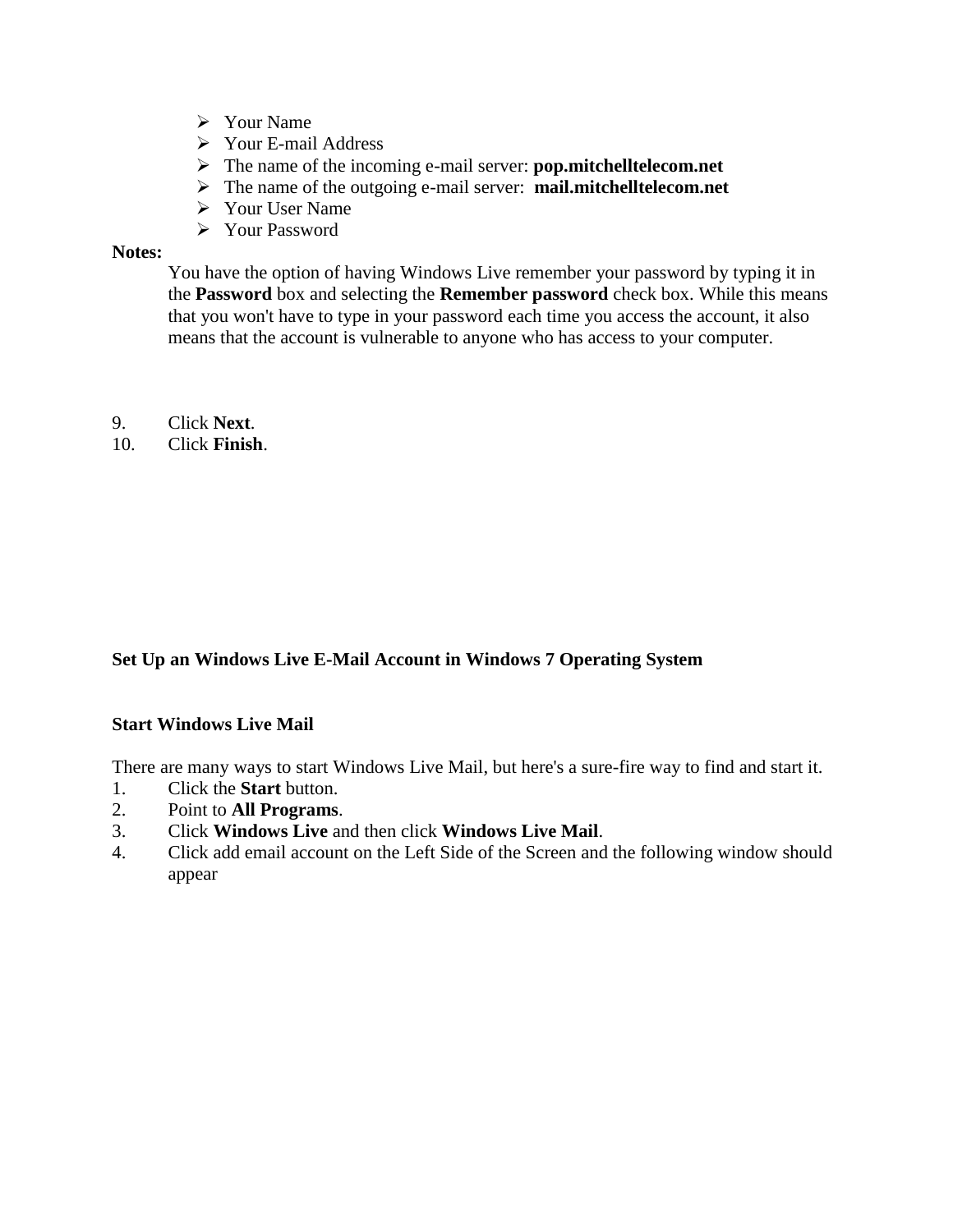- $\triangleright$  Your Name
- Your E-mail Address
- The name of the incoming e-mail server: **pop.mitchelltelecom.net**
- The name of the outgoing e-mail server: **mail.mitchelltelecom.net**
- Your User Name
- Your Password

#### **Notes:**

You have the option of having Windows Live remember your password by typing it in the **Password** box and selecting the **Remember password** check box. While this means that you won't have to type in your password each time you access the account, it also means that the account is vulnerable to anyone who has access to your computer.

- 9. Click **Next**.
- 10. Click **Finish**.

### **Set Up an Windows Live E-Mail Account in Windows 7 Operating System**

### **Start Windows Live Mail**

There are many ways to start Windows Live Mail, but here's a sure-fire way to find and start it.

- 1. Click the **Start** button.
- 2. Point to **All Programs**.
- 3. Click **Windows Live** and then click **Windows Live Mail**.
- 4. Click add email account on the Left Side of the Screen and the following window should appear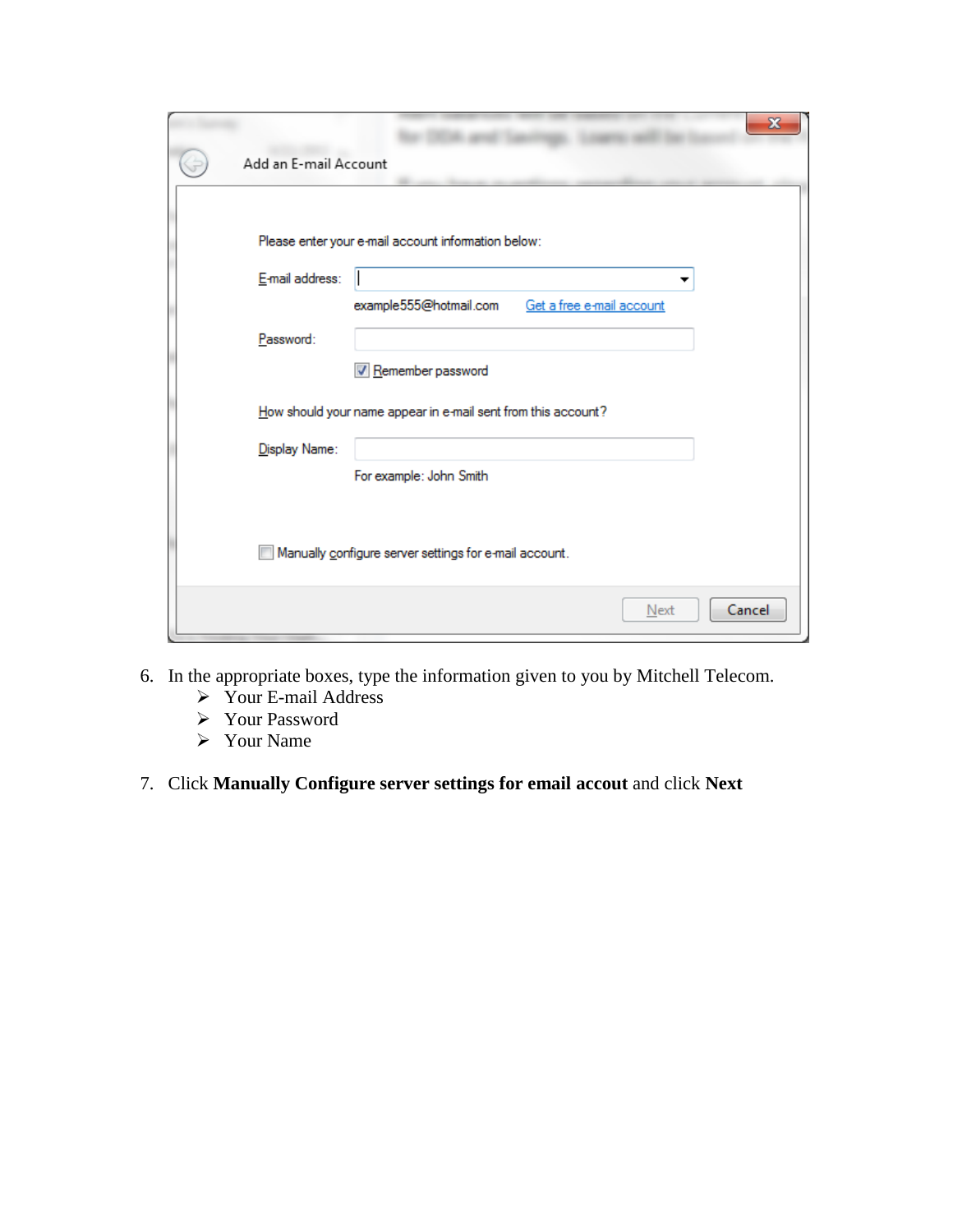| Add an E-mail Account                                                                |
|--------------------------------------------------------------------------------------|
| Please enter your e-mail account information below:                                  |
| E-mail address:                                                                      |
| example555@hotmail.com<br>Get a free e-mail account<br>Password:                     |
| V Remember password<br>How should your name appear in e-mail sent from this account? |
| Display Name:                                                                        |
| For example: John Smith                                                              |
| Manually configure server settings for e-mail account.                               |
| Cancel<br>Next                                                                       |

- 6. In the appropriate boxes, type the information given to you by Mitchell Telecom.
	- Your E-mail Address
	- Your Password
	- Your Name
- 7. Click **Manually Configure server settings for email accout** and click **Next**